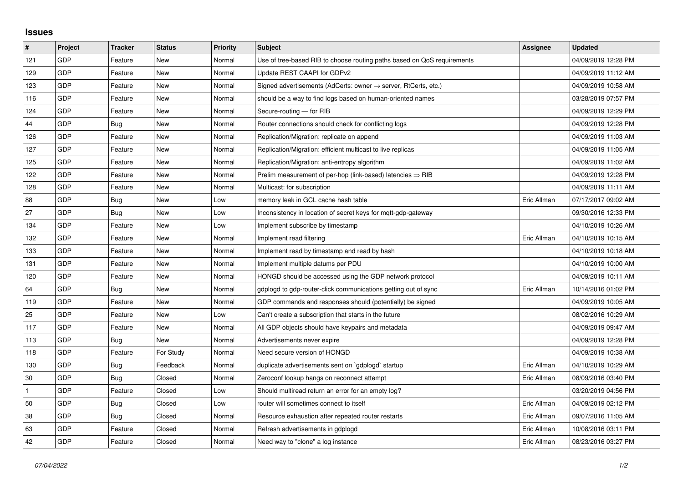## **Issues**

| #   | Project    | <b>Tracker</b> | <b>Status</b> | <b>Priority</b> | <b>Subject</b>                                                             | Assignee    | <b>Updated</b>      |
|-----|------------|----------------|---------------|-----------------|----------------------------------------------------------------------------|-------------|---------------------|
| 121 | GDP        | Feature        | <b>New</b>    | Normal          | Use of tree-based RIB to choose routing paths based on QoS requirements    |             | 04/09/2019 12:28 PM |
| 129 | GDP        | Feature        | New           | Normal          | Update REST CAAPI for GDPv2                                                |             | 04/09/2019 11:12 AM |
| 123 | GDP        | Feature        | New           | Normal          | Signed advertisements (AdCerts: owner $\rightarrow$ server, RtCerts, etc.) |             | 04/09/2019 10:58 AM |
| 116 | GDP        | Feature        | New           | Normal          | should be a way to find logs based on human-oriented names                 |             | 03/28/2019 07:57 PM |
| 124 | GDP        | Feature        | <b>New</b>    | Normal          | Secure-routing - for RIB                                                   |             | 04/09/2019 12:29 PM |
| 44  | GDP        | Bug            | New           | Normal          | Router connections should check for conflicting logs                       |             | 04/09/2019 12:28 PM |
| 126 | GDP        | Feature        | New           | Normal          | Replication/Migration: replicate on append                                 |             | 04/09/2019 11:03 AM |
| 127 | GDP        | Feature        | <b>New</b>    | Normal          | Replication/Migration: efficient multicast to live replicas                |             | 04/09/2019 11:05 AM |
| 125 | <b>GDP</b> | Feature        | New           | Normal          | Replication/Migration: anti-entropy algorithm                              |             | 04/09/2019 11:02 AM |
| 122 | GDP        | Feature        | <b>New</b>    | Normal          | Prelim measurement of per-hop (link-based) latencies $\Rightarrow$ RIB     |             | 04/09/2019 12:28 PM |
| 128 | GDP        | Feature        | <b>New</b>    | Normal          | Multicast: for subscription                                                |             | 04/09/2019 11:11 AM |
| 88  | GDP        | Bug            | New           | Low             | memory leak in GCL cache hash table                                        | Eric Allman | 07/17/2017 09:02 AM |
| 27  | GDP        | Bug            | <b>New</b>    | Low             | Inconsistency in location of secret keys for mgtt-gdp-gateway              |             | 09/30/2016 12:33 PM |
| 134 | GDP        | Feature        | New           | Low             | Implement subscribe by timestamp                                           |             | 04/10/2019 10:26 AM |
| 132 | GDP        | Feature        | New           | Normal          | Implement read filtering                                                   | Eric Allman | 04/10/2019 10:15 AM |
| 133 | GDP        | Feature        | <b>New</b>    | Normal          | Implement read by timestamp and read by hash                               |             | 04/10/2019 10:18 AM |
| 131 | GDP        | Feature        | New           | Normal          | Implement multiple datums per PDU                                          |             | 04/10/2019 10:00 AM |
| 120 | GDP        | Feature        | New           | Normal          | HONGD should be accessed using the GDP network protocol                    |             | 04/09/2019 10:11 AM |
| 64  | GDP        | <b>Bug</b>     | <b>New</b>    | Normal          | gdplogd to gdp-router-click communications getting out of sync             | Eric Allman | 10/14/2016 01:02 PM |
| 119 | GDP        | Feature        | New           | Normal          | GDP commands and responses should (potentially) be signed                  |             | 04/09/2019 10:05 AM |
| 25  | GDP        | Feature        | New           | Low             | Can't create a subscription that starts in the future                      |             | 08/02/2016 10:29 AM |
| 117 | GDP        | Feature        | <b>New</b>    | Normal          | All GDP objects should have keypairs and metadata                          |             | 04/09/2019 09:47 AM |
| 113 | GDP        | Bug            | New           | Normal          | Advertisements never expire                                                |             | 04/09/2019 12:28 PM |
| 118 | GDP        | Feature        | For Study     | Normal          | Need secure version of HONGD                                               |             | 04/09/2019 10:38 AM |
| 130 | GDP        | Bug            | Feedback      | Normal          | duplicate advertisements sent on `gdplogd` startup                         | Eric Allman | 04/10/2019 10:29 AM |
| 30  | GDP        | Bug            | Closed        | Normal          | Zeroconf lookup hangs on reconnect attempt                                 | Eric Allman | 08/09/2016 03:40 PM |
|     | GDP        | Feature        | Closed        | Low             | Should multiread return an error for an empty log?                         |             | 03/20/2019 04:56 PM |
| 50  | GDP        | Bug            | Closed        | Low             | router will sometimes connect to itself                                    | Eric Allman | 04/09/2019 02:12 PM |
| 38  | GDP        | <b>Bug</b>     | Closed        | Normal          | Resource exhaustion after repeated router restarts                         | Eric Allman | 09/07/2016 11:05 AM |
| 63  | GDP        | Feature        | Closed        | Normal          | Refresh advertisements in gdplogd                                          | Eric Allman | 10/08/2016 03:11 PM |
| 42  | GDP        | Feature        | Closed        | Normal          | Need way to "clone" a log instance                                         | Eric Allman | 08/23/2016 03:27 PM |